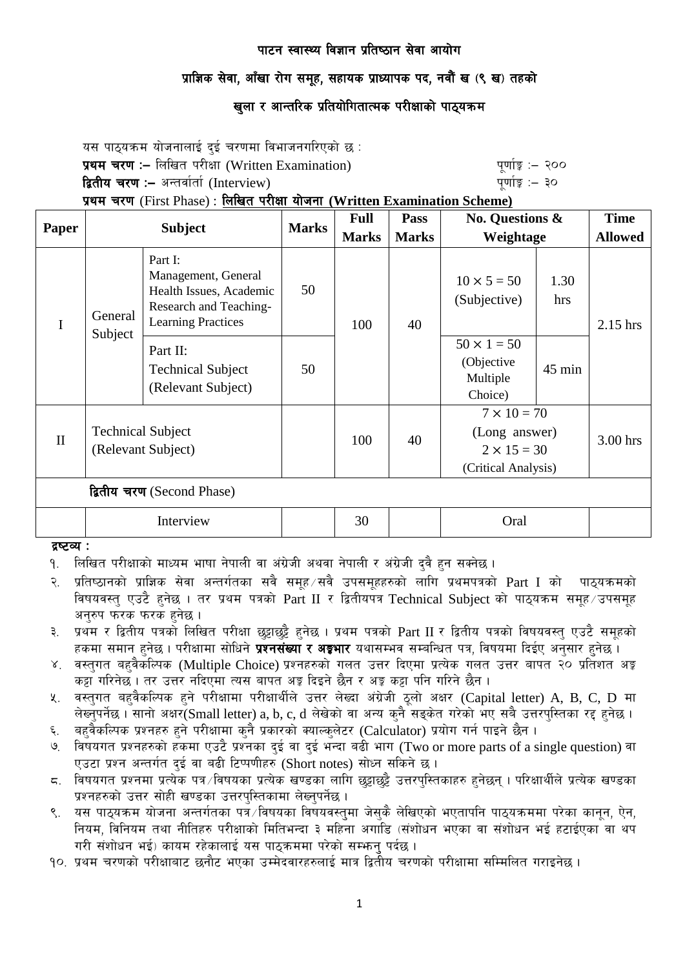# प्राज्ञिक सेवा, आँखा रोग समूह, सहायक प्राध्यापक पद, नवौं ख (९ ख) तहको

# खुला र आन्तरिक प्रतियोगितात्मक परीक्षाको पाठ्यक्रम

यस पाठ्यक्रम योजनालाई दुई चरणमा विभाजनगरिएको छ : प्रथम चरण :- लिखित परीक्षा (Written Examination) x 200 पूर्णाङ्ग :- २०० द्वितीय चरण :– अन्तर्वार्ता (Interview) kan had also keep that we have the set of  $\frac{1}{2}$ 

प्रथम चरण (First Phase) : लिखित परीक्षा योजना (Written Examination Scheme)

| Paper                      | <b>Subject</b>                                 |                                                                                                                  | <b>Marks</b> | <b>Full</b>  | Pass                               | <b>No. Questions &amp;</b><br>Weightage                                          |            | <b>Time</b>    |
|----------------------------|------------------------------------------------|------------------------------------------------------------------------------------------------------------------|--------------|--------------|------------------------------------|----------------------------------------------------------------------------------|------------|----------------|
|                            |                                                |                                                                                                                  |              | <b>Marks</b> | <b>Marks</b>                       |                                                                                  |            | <b>Allowed</b> |
| $\mathbf I$                | General<br>Subject                             | Part I:<br>Management, General<br>Health Issues, Academic<br>Research and Teaching-<br><b>Learning Practices</b> | 50<br>100    | 40           | $10 \times 5 = 50$<br>(Subjective) | 1.30<br>hrs                                                                      | $2.15$ hrs |                |
|                            |                                                | Part II:<br><b>Technical Subject</b><br>(Relevant Subject)                                                       | 50           |              |                                    | $50 \times 1 = 50$<br>(Objective<br>Multiple<br>Choice)                          | $45$ min   |                |
| $\mathbf{I}$               | <b>Technical Subject</b><br>(Relevant Subject) |                                                                                                                  |              | 100          | 40                                 | $7 \times 10 = 70$<br>(Long answer)<br>$2 \times 15 = 30$<br>(Critical Analysis) |            | 3.00 hrs       |
| द्वितीय चरण (Second Phase) |                                                |                                                                                                                  |              |              |                                    |                                                                                  |            |                |
|                            | Interview                                      |                                                                                                                  |              | 30           |                                    | Oral                                                                             |            |                |

द्रष्टव्य :

- <u>9. लिखित परीक्षाको माध्यम भाषा नेपाली वा अंग्रेजी अथवा नेपाली र अंग्रेजी दवै हन सक्नेछ ।</u>
- २. प्रतिष्ठानको प्राज्ञिक सेवा अन्तर्गतका सवै समूह ∕सवै उपसमूहहरुको लागि प्रथमपत्रको Part I को पाठ्यक्रमको विषयवस्त् एउटै हनेछ । तर प्रथम पत्रको Part II र द्वितीयपत्र Technical Subject को पाठ्यक्रम समूह उपसमूह अनरुप फरक फरक हनेछ ।
- ३. प्रथम र द्वितीय पत्रको लिखित परीक्षा छट्टाछट्टै हनेछ । प्रथम पत्रको Part II र द्वितीय पत्रको विषयवस्त् एउटै समुहको हकमा समान हुनेछ । परीक्षामा सोधिने **प्रश्नसंख्या र अङ्गभार** यथासम्भव सम्बन्धित पत्र, विषयमा दिईए अनुसार हुनेछ ।
- ४. वस्तुगत बहुवैकस्पिक (Multiple Choice) प्रश्नहरुको गलत उत्तर दिएमा प्रत्येक गलत उत्तर बापत २० प्रतिशत अङ्क कट्टा गरिनेछ । तर उत्तर नदिएमा त्यस बापत अङ्ग दिइने छैन र अङ्ग कट्टा पनि गरिने छैन ।
- ४. वस्तुगत बहवैकल्पिक हुने परीक्षामा परीक्षार्थीले उत्तर लेख्दा अंग्रेजी ठूलो अक्षर (Capital letter) A, B, C, D मा लेख्नुपर्नेछ । सानो अक्षर(Small letter) a, b, c, d लेखेको वा अन्य कुनै सडुकेत गरेको भए सबै उत्तरपस्तिका रद्द हुनेछ ।
- ६. वहवैकल्पिक प्रश्नहरु हुने परीक्षामा कुनै प्रकारको क्याल्कुलेटर (Calculator) प्रयोग गर्न पाइने छैन ।
- ७. विषयगत प्रश्नहरुको हकमा एउटै प्रश्नका दुई वा दुई भन्दा बढी भाग (Two or more parts of a single question) वा एउटा प्रश्न अन्तर्गत दई वा बढी टिप्पणीहरु (Short notes) सोध्न सकिने छ।
- $\,$  s. ) विषयगत प्रश्नमा प्रत्येक पत्र /विषयका प्रत्येक खण्डका लागि छड़ाछड़ै उत्तरपस्तिकाहरु हनेछन । परिक्षार्थीले प्रत्येक खण्डका प्रश्नहरुको उत्तर सोही खण्डका उत्तरपस्तिकामा लेख्नुपर्नेछ ।
- ९. यस पाठ्यक्रम योजना अन्तर्गतका पत्रे ∕विषयका विषयवस्तुमा जेसुकै लेखिएको भएतापनि पाठ्यक्रममा परेका कानुन, ऐन, नियम, विनियम तथा नीतिहरु परीक्षाको मितिभन्दा ३ महिना अगाडि (संशोधन भएका वा संशोधन भई हटाईएका वा थप गरी संशोधन भई) कायम रहेकालाई यस पाठकममा परेको सम्भन् पर्दछ ।
- <u>१०. प्रथम चरणको परीक्षाबाट छनौट भएका उम्मेदवारहरुलाई मात्र द्वितीय चरणको परीक्षामा सम्मिलित गराइनेछ ।</u>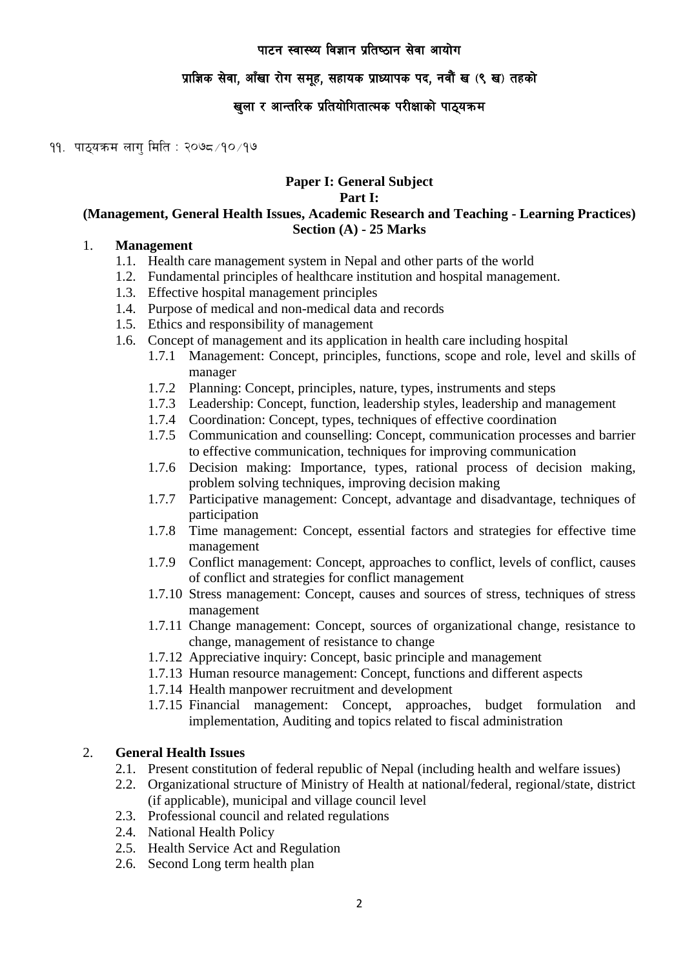# प्राज्ञिक सेवा, आँखा रोग समूह, सहायक प्राध्यापक पद, नवौं ख (९ ख) तहको

# खुला र आन्तरिक प्रतियोगितात्मक परीक्षाको पाठ्यक्रम

११. पाठयक्रम लाग मिति : २०७८ ∕१० ⁄१७

## **Paper I: General Subject**

#### **Part I:**

#### **(Management, General Health Issues, Academic Research and Teaching - Learning Practices) Section (A) - 25 Marks**

### 1. **Management**

- 1.1. Health care management system in Nepal and other parts of the world
- 1.2. Fundamental principles of healthcare institution and hospital management.
- 1.3. Effective hospital management principles
- 1.4. Purpose of medical and non-medical data and records
- 1.5. Ethics and responsibility of management
- 1.6. Concept of management and its application in health care including hospital
	- 1.7.1 Management: Concept, principles, functions, scope and role, level and skills of manager
	- 1.7.2 Planning: Concept, principles, nature, types, instruments and steps
	- 1.7.3 Leadership: Concept, function, leadership styles, leadership and management
	- 1.7.4 Coordination: Concept, types, techniques of effective coordination
	- 1.7.5 Communication and counselling: Concept, communication processes and barrier to effective communication, techniques for improving communication
	- 1.7.6 Decision making: Importance, types, rational process of decision making, problem solving techniques, improving decision making
	- 1.7.7 Participative management: Concept, advantage and disadvantage, techniques of participation
	- 1.7.8 Time management: Concept, essential factors and strategies for effective time management
	- 1.7.9 Conflict management: Concept, approaches to conflict, levels of conflict, causes of conflict and strategies for conflict management
	- 1.7.10 Stress management: Concept, causes and sources of stress, techniques of stress management
	- 1.7.11 Change management: Concept, sources of organizational change, resistance to change, management of resistance to change
	- 1.7.12 Appreciative inquiry: Concept, basic principle and management
	- 1.7.13 Human resource management: Concept, functions and different aspects
	- 1.7.14 Health manpower recruitment and development
	- 1.7.15 Financial management: Concept, approaches, budget formulation and implementation, Auditing and topics related to fiscal administration

## 2. **General Health Issues**

- 2.1. Present constitution of federal republic of Nepal (including health and welfare issues)
- 2.2. Organizational structure of Ministry of Health at national/federal, regional/state, district (if applicable), municipal and village council level
- 2.3. Professional council and related regulations
- 2.4. National Health Policy
- 2.5. Health Service Act and Regulation
- 2.6. Second Long term health plan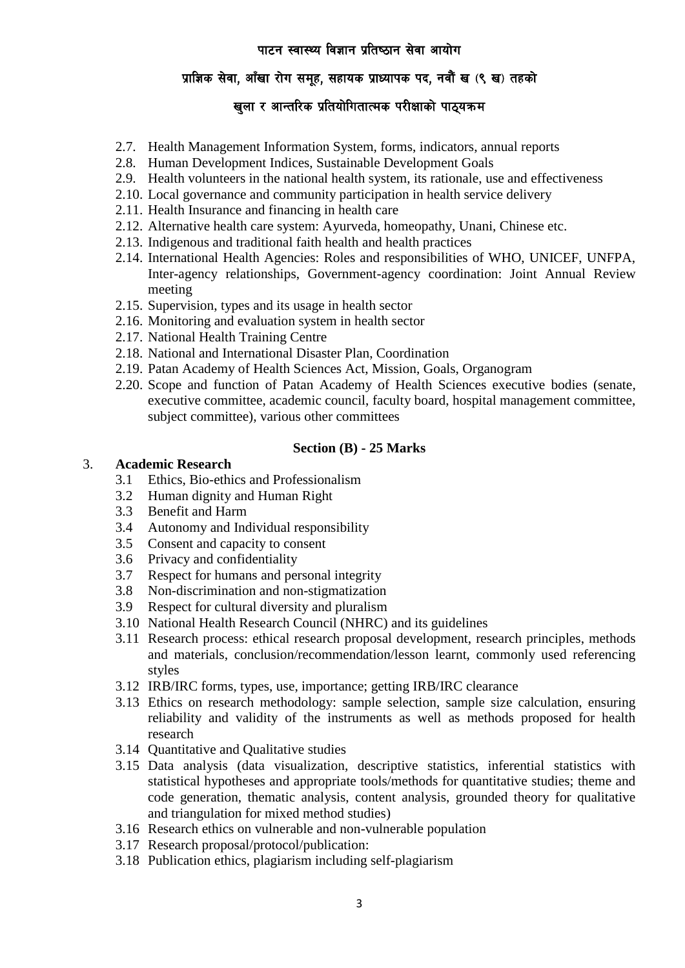# प्राज्ञिक सेवा, आँखा रोग समूह, सहायक प्राध्यापक पद, नवौं ख (९ ख) तहको

# खुला र आन्तरिक प्रतियोगितात्मक परीक्षाको पाठ्**यक्रम**

- 2.7. Health Management Information System, forms, indicators, annual reports
- 2.8. Human Development Indices, Sustainable Development Goals
- 2.9. Health volunteers in the national health system, its rationale, use and effectiveness
- 2.10. Local governance and community participation in health service delivery
- 2.11. Health Insurance and financing in health care
- 2.12. Alternative health care system: Ayurveda, homeopathy, Unani, Chinese etc.
- 2.13. Indigenous and traditional faith health and health practices
- 2.14. International Health Agencies: Roles and responsibilities of WHO, UNICEF, UNFPA, Inter-agency relationships, Government-agency coordination: Joint Annual Review meeting
- 2.15. Supervision, types and its usage in health sector
- 2.16. Monitoring and evaluation system in health sector
- 2.17. National Health Training Centre
- 2.18. National and International Disaster Plan, Coordination
- 2.19. Patan Academy of Health Sciences Act, Mission, Goals, Organogram
- 2.20. Scope and function of Patan Academy of Health Sciences executive bodies (senate, executive committee, academic council, faculty board, hospital management committee, subject committee), various other committees

#### **Section (B) - 25 Marks**

#### 3. **Academic Research**

- 3.1 Ethics, Bio-ethics and Professionalism
- 3.2 Human dignity and Human Right
- 3.3 Benefit and Harm
- 3.4 Autonomy and Individual responsibility
- 3.5 Consent and capacity to consent
- 3.6 Privacy and confidentiality
- 3.7 Respect for humans and personal integrity
- 3.8 Non-discrimination and non-stigmatization
- 3.9 Respect for cultural diversity and pluralism
- 3.10 National Health Research Council (NHRC) and its guidelines
- 3.11 Research process: ethical research proposal development, research principles, methods and materials, conclusion/recommendation/lesson learnt, commonly used referencing styles
- 3.12 IRB/IRC forms, types, use, importance; getting IRB/IRC clearance
- 3.13 Ethics on research methodology: sample selection, sample size calculation, ensuring reliability and validity of the instruments as well as methods proposed for health research
- 3.14 Quantitative and Qualitative studies
- 3.15 Data analysis (data visualization, descriptive statistics, inferential statistics with statistical hypotheses and appropriate tools/methods for quantitative studies; theme and code generation, thematic analysis, content analysis, grounded theory for qualitative and triangulation for mixed method studies)
- 3.16 Research ethics on vulnerable and non-vulnerable population
- 3.17 Research proposal/protocol/publication:
- 3.18 Publication ethics, plagiarism including self-plagiarism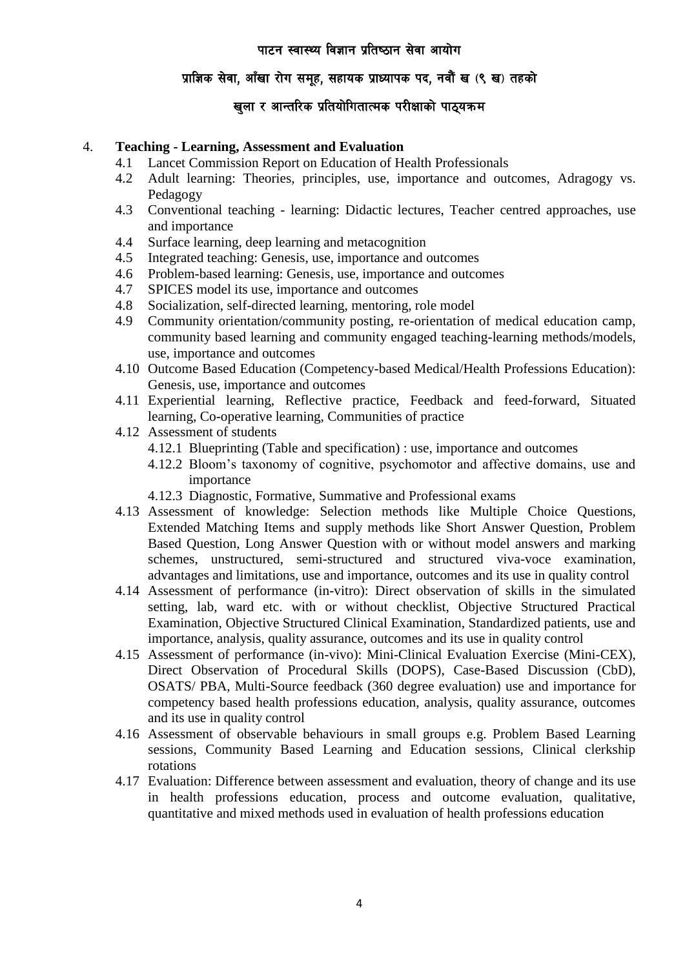# प्राज्ञिक सेवा, आँखा रोग समूह, सहायक प्राध्यापक पद, नवौं ख (९ ख) तहको

# खुला र आन्तरिक प्रतियोगितात्मक परीक्षाको पाठ्**यक्रम**

#### 4. **Teaching - Learning, Assessment and Evaluation**

- 4.1 Lancet Commission Report on Education of Health Professionals
- 4.2 Adult learning: Theories, principles, use, importance and outcomes, Adragogy vs. Pedagogy
- 4.3 Conventional teaching learning: Didactic lectures, Teacher centred approaches, use and importance
- 4.4 Surface learning, deep learning and metacognition
- 4.5 Integrated teaching: Genesis, use, importance and outcomes
- 4.6 Problem-based learning: Genesis, use, importance and outcomes
- 4.7 SPICES model its use, importance and outcomes
- 4.8 Socialization, self-directed learning, mentoring, role model
- 4.9 Community orientation/community posting, re-orientation of medical education camp, community based learning and community engaged teaching-learning methods/models, use, importance and outcomes
- 4.10 Outcome Based Education (Competency-based Medical/Health Professions Education): Genesis, use, importance and outcomes
- 4.11 Experiential learning, Reflective practice, Feedback and feed-forward, Situated learning, Co-operative learning, Communities of practice
- 4.12 Assessment of students
	- 4.12.1 Blueprinting (Table and specification) : use, importance and outcomes
	- 4.12.2 Bloom's taxonomy of cognitive, psychomotor and affective domains, use and importance
	- 4.12.3 Diagnostic, Formative, Summative and Professional exams
- 4.13 Assessment of knowledge: Selection methods like Multiple Choice Questions, Extended Matching Items and supply methods like Short Answer Question, Problem Based Question, Long Answer Question with or without model answers and marking schemes, unstructured, semi-structured and structured viva-voce examination, advantages and limitations, use and importance, outcomes and its use in quality control
- 4.14 Assessment of performance (in-vitro): Direct observation of skills in the simulated setting, lab, ward etc. with or without checklist, Objective Structured Practical Examination, Objective Structured Clinical Examination, Standardized patients, use and importance, analysis, quality assurance, outcomes and its use in quality control
- 4.15 Assessment of performance (in-vivo): Mini-Clinical Evaluation Exercise (Mini-CEX), Direct Observation of Procedural Skills (DOPS), Case-Based Discussion (CbD), OSATS/ PBA, Multi-Source feedback (360 degree evaluation) use and importance for competency based health professions education, analysis, quality assurance, outcomes and its use in quality control
- 4.16 Assessment of observable behaviours in small groups e.g. Problem Based Learning sessions, Community Based Learning and Education sessions, Clinical clerkship rotations
- 4.17 Evaluation: Difference between assessment and evaluation, theory of change and its use in health professions education, process and outcome evaluation, qualitative, quantitative and mixed methods used in evaluation of health professions education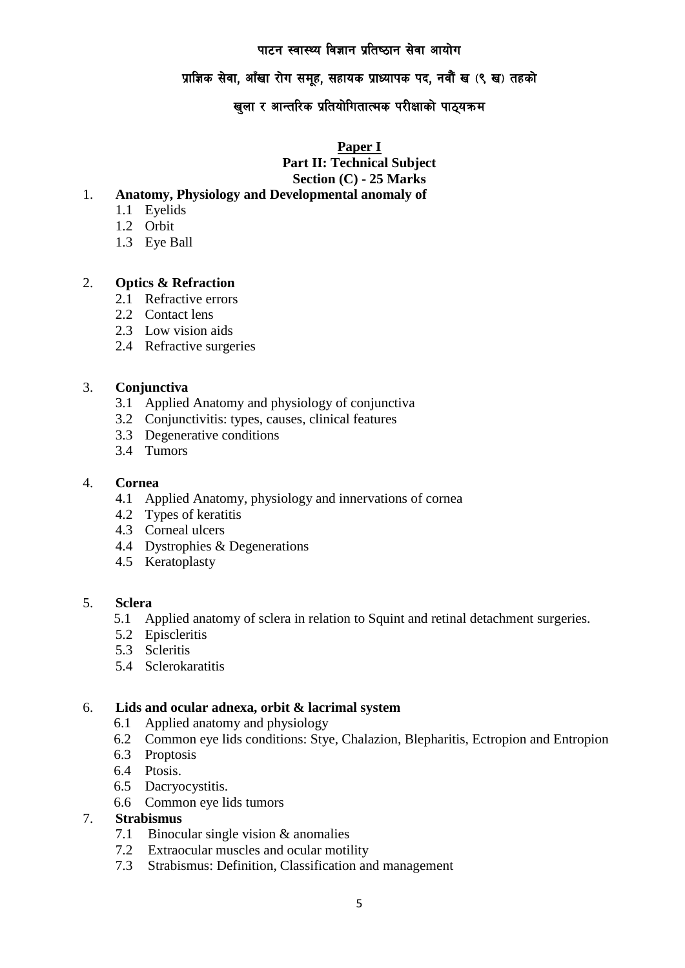# प्राज्ञिक सेवा, आँखा रोग समूह, सहायक प्राध्यापक पद, नवौं ख (९ ख) तहको

# खुला र आन्तरिक प्रतियोगितात्मक परीक्षाको पाठ्**यक्रम**

**Paper I**

**Part II: Technical Subject**

**Section (C) - 25 Marks**

## 1. **Anatomy, Physiology and Developmental anomaly of**

- 1.1 Eyelids
- 1.2 Orbit
- 1.3 Eye Ball

#### 2. **Optics & Refraction**

- 2.1 Refractive errors
- 2.2 Contact lens
- 2.3 Low vision aids
- 2.4 Refractive surgeries

#### 3. **Conjunctiva**

- 3.1 Applied Anatomy and physiology of conjunctiva
- 3.2 Conjunctivitis: types, causes, clinical features
- 3.3 Degenerative conditions
- 3.4 Tumors

#### 4. **Cornea**

- 4.1 Applied Anatomy, physiology and innervations of cornea
- 4.2 Types of keratitis
- 4.3 Corneal ulcers
- 4.4 Dystrophies & Degenerations
- 4.5 Keratoplasty

#### 5. **Sclera**

- 5.1 Applied anatomy of sclera in relation to Squint and retinal detachment surgeries.
- 5.2 Episcleritis
- 5.3 Scleritis
- 5.4 Sclerokaratitis

#### 6. **Lids and ocular adnexa, orbit & lacrimal system**

- 6.1 Applied anatomy and physiology
- 6.2 Common eye lids conditions: Stye, Chalazion, Blepharitis, Ectropion and Entropion
- 6.3 Proptosis
- 6.4 Ptosis.
- 6.5 Dacryocystitis.
- 6.6 Common eye lids tumors

#### 7. **Strabismus**

- 7.1 Binocular single vision & anomalies
- 7.2 Extraocular muscles and ocular motility
- 7.3 Strabismus: Definition, Classification and management